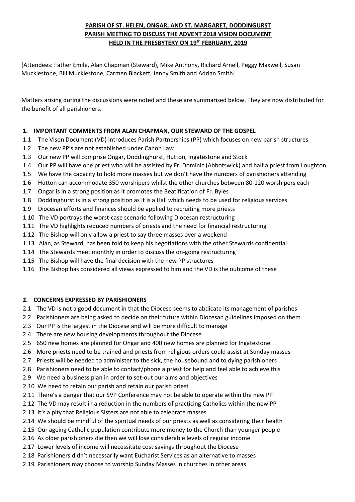# **PARISH OF ST. HELEN, ONGAR, AND ST. MARGARET, DODDINGURST PARISH MEETING TO DISCUSS THE ADVENT 2018 VISION DOCUMENT HELD IN THE PRESBYTERY ON 19th FEBRUARY, 2019**

[Attendees: Father Emile, Alan Chapman (Steward), Mike Anthony, Richard Arnell, Peggy Maxwell, Susan Mucklestone, Bill Mucklestone, Carmen Blackett, Jenny Smith and Adrian Smith]

Matters arising during the discussions were noted and these are summarised below. They are now distributed for the benefit of all parishioners.

# **1. IMPORTANT COMMENTS FROM ALAN CHAPMAN, OUR STEWARD OF THE GOSPEL**

- 1.1 The Vison Document (VD) introduces Parish Partnerships (PP) which focuses on new parish structures
- 1.2 The new PP's are not established under Canon Law
- 1.3 Our new PP will comprise Ongar, Doddinghurst, Hutton, Ingatestone and Stock
- 1.4 Our PP will have one priest who will be assisted by Fr. Dominic (Abbotswick) and half a priest from Loughton
- 1.5 We have the capacity to hold more masses but we don't have the numbers of parishioners attending
- 1.6 Hutton can accommodate 350 worshipers whilst the other churches between 80-120 worshipers each
- 1.7 Ongar is in a strong position as it promotes the Beatification of Fr. Byles
- 1.8 Doddinghurst is in a strong position as it is a Hall which needs to be used for religious services
- 1.9 Diocesan efforts and finances should be applied to recruiting more priests
- 1.10 The VD portrays the worst-case scenario following Diocesan restructuring
- 1.11 The VD highlights reduced numbers of priests and the need for financial restructuring
- 1.12 The Bishop will only allow a priest to say three masses over a weekend
- 1.13 Alan, as Steward, has been told to keep his negotiations with the other Stewards confidential
- 1.14 The Stewards meet monthly in order to discuss the on-going restructuring
- 1.15 The Bishop will have the final decision with the new PP structures
- 1.16 The Bishop has considered all views expressed to him and the VD is the outcome of these

### **2. CONCERNS EXPRESSED BY PARISHIONERS**

- 2.1 The VD is not a good document in that the Diocese seems to abdicate its management of parishes
- 2.2 Parishioners are being asked to decide on their future within Diocesan guidelines imposed on them
- 2.3 Our PP is the largest in the Diocese and will be more difficult to manage
- 2.4 There are new housing developments throughout the Diocese
- 2.5 650 new homes are planned for Ongar and 400 new homes are planned for Ingatestone
- 2.6 More priests need to be trained and priests from religious orders could assist at Sunday masses
- 2.7 Priests will be needed to administer to the sick, the housebound and to dying parishioners
- 2.8 Parishioners need to be able to contact/phone a priest for help and feel able to achieve this
- 2.9 We need a business plan in order to set-out our aims and objectives
- 2.10 We need to retain our parish and retain our parish priest
- 2.11 There's a danger that our SVP Conference may not be able to operate within the new PP
- 2.12 The VD may result in a reduction in the numbers of practicing Catholics within the new PP
- 2.13 It's a pity that Religious Sisters are not able to celebrate masses
- 2.14 We should be mindful of the spiritual needs of our priests as well as considering their health
- 2.15 Our ageing Catholic population contribute more money to the Church than younger people
- 2.16 As older parishioners die then we will lose considerable levels of regular income
- 2.17 Lower levels of income will necessitate cost savings throughout the Diocese
- 2.18 Parishioners didn't necessarily want Eucharist Services as an alternative to masses
- 2.19 Parishioners may choose to worship Sunday Masses in churches in other areas